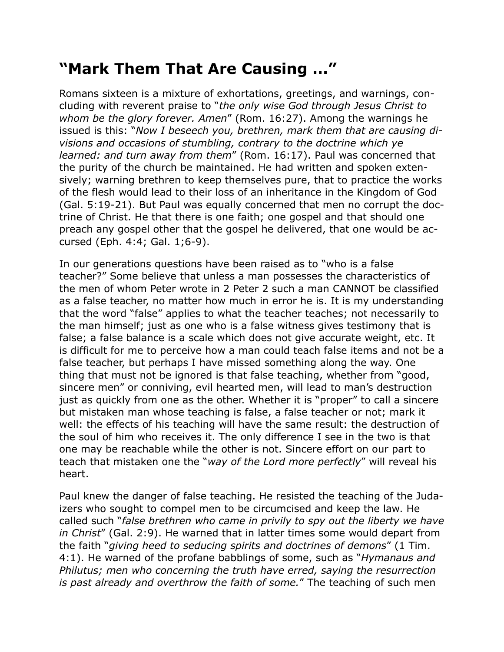## **"Mark Them That Are Causing …"**

Romans sixteen is a mixture of exhortations, greetings, and warnings, concluding with reverent praise to "*the only wise God through Jesus Christ to whom be the glory forever. Amen*" (Rom. 16:27). Among the warnings he issued is this: "*Now I beseech you, brethren, mark them that are causing divisions and occasions of stumbling, contrary to the doctrine which ye learned: and turn away from them*" (Rom. 16:17). Paul was concerned that the purity of the church be maintained. He had written and spoken extensively; warning brethren to keep themselves pure, that to practice the works of the flesh would lead to their loss of an inheritance in the Kingdom of God (Gal. 5:19-21). But Paul was equally concerned that men no corrupt the doctrine of Christ. He that there is one faith; one gospel and that should one preach any gospel other that the gospel he delivered, that one would be accursed (Eph. 4:4; Gal. 1;6-9).

In our generations questions have been raised as to "who is a false teacher?" Some believe that unless a man possesses the characteristics of the men of whom Peter wrote in 2 Peter 2 such a man CANNOT be classified as a false teacher, no matter how much in error he is. It is my understanding that the word "false" applies to what the teacher teaches; not necessarily to the man himself; just as one who is a false witness gives testimony that is false; a false balance is a scale which does not give accurate weight, etc. It is difficult for me to perceive how a man could teach false items and not be a false teacher, but perhaps I have missed something along the way. One thing that must not be ignored is that false teaching, whether from "good, sincere men" or conniving, evil hearted men, will lead to man's destruction just as quickly from one as the other. Whether it is "proper" to call a sincere but mistaken man whose teaching is false, a false teacher or not; mark it well: the effects of his teaching will have the same result: the destruction of the soul of him who receives it. The only difference I see in the two is that one may be reachable while the other is not. Sincere effort on our part to teach that mistaken one the "*way of the Lord more perfectly*" will reveal his heart.

Paul knew the danger of false teaching. He resisted the teaching of the Judaizers who sought to compel men to be circumcised and keep the law. He called such "*false brethren who came in privily to spy out the liberty we have in Christ*" (Gal. 2:9). He warned that in latter times some would depart from the faith "*giving heed to seducing spirits and doctrines of demons*" (1 Tim. 4:1). He warned of the profane babblings of some, such as "*Hymanaus and Philutus; men who concerning the truth have erred, saying the resurrection is past already and overthrow the faith of some.*" The teaching of such men